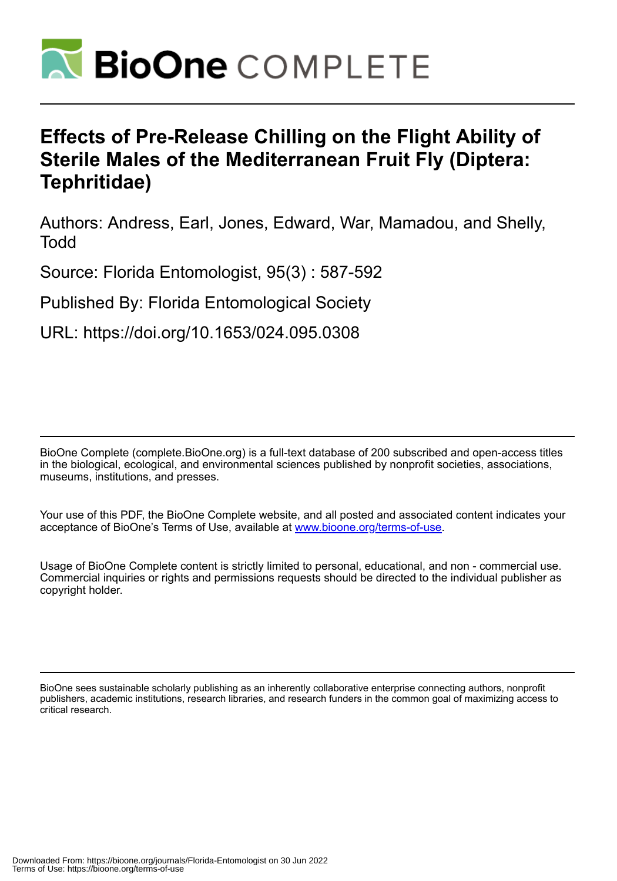

# **Effects of Pre-Release Chilling on the Flight Ability of Sterile Males of the Mediterranean Fruit Fly (Diptera: Tephritidae)**

Authors: Andress, Earl, Jones, Edward, War, Mamadou, and Shelly, Todd

Source: Florida Entomologist, 95(3) : 587-592

Published By: Florida Entomological Society

URL: https://doi.org/10.1653/024.095.0308

BioOne Complete (complete.BioOne.org) is a full-text database of 200 subscribed and open-access titles in the biological, ecological, and environmental sciences published by nonprofit societies, associations, museums, institutions, and presses.

Your use of this PDF, the BioOne Complete website, and all posted and associated content indicates your acceptance of BioOne's Terms of Use, available at www.bioone.org/terms-of-use.

Usage of BioOne Complete content is strictly limited to personal, educational, and non - commercial use. Commercial inquiries or rights and permissions requests should be directed to the individual publisher as copyright holder.

BioOne sees sustainable scholarly publishing as an inherently collaborative enterprise connecting authors, nonprofit publishers, academic institutions, research libraries, and research funders in the common goal of maximizing access to critical research.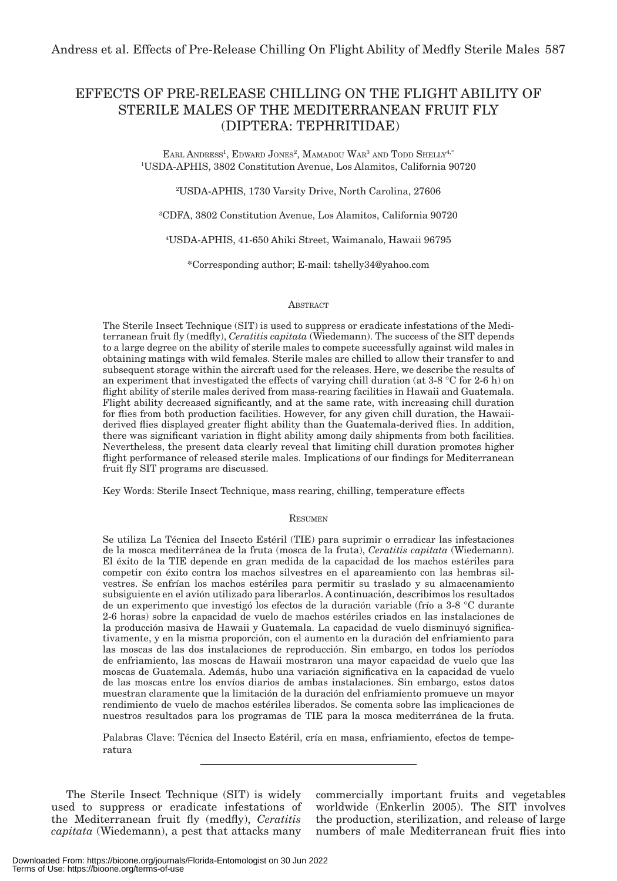## EFFECTS OF PRE-RELEASE CHILLING ON THE FLIGHT ABILITY OF STERILE MALES OF THE MEDITERRANEAN FRUIT FLY (DIPTERA: TEPHRITIDAE)

EARL ANDRESS<sup>1</sup>, EDWARD JONES<sup>2</sup>, MAMADOU WAR<sup>3</sup> AND TODD SHELLY<sup>4,\*</sup> 1 USDA-APHIS, 3802 Constitution Avenue, Los Alamitos, California 90720

2 USDA-APHIS, 1730 Varsity Drive, North Carolina, 27606

3 CDFA, 3802 Constitution Avenue, Los Alamitos, California 90720

4 USDA-APHIS, 41-650 Ahiki Street, Waimanalo, Hawaii 96795

\*Corresponding author; E-mail: tshelly34@yahoo.com

#### **ABSTRACT**

The Sterile Insect Technique (SIT) is used to suppress or eradicate infestations of the Mediterranean fruit fly (medfly), *Ceratitis capitata* (Wiedemann). The success of the SIT depends to a large degree on the ability of sterile males to compete successfully against wild males in obtaining matings with wild females. Sterile males are chilled to allow their transfer to and subsequent storage within the aircraft used for the releases. Here, we describe the results of an experiment that investigated the effects of varying chill duration (at  $3-8$  °C for 2-6 h) on flight ability of sterile males derived from mass-rearing facilities in Hawaii and Guatemala. Flight ability decreased significantly, and at the same rate, with increasing chill duration for flies from both production facilities. However, for any given chill duration, the Hawaiiderived flies displayed greater flight ability than the Guatemala-derived flies. In addition, there was significant variation in flight ability among daily shipments from both facilities. Nevertheless, the present data clearly reveal that limiting chill duration promotes higher flight performance of released sterile males. Implications of our findings for Mediterranean fruit fly SIT programs are discussed.

Key Words: Sterile Insect Technique, mass rearing, chilling, temperature effects

### RESUMEN

Se utiliza La Técnica del Insecto Estéril (TIE) para suprimir o erradicar las infestaciones de la mosca mediterránea de la fruta (mosca de la fruta), *Ceratitis capitata* (Wiedemann). El éxito de la TIE depende en gran medida de la capacidad de los machos estériles para competir con éxito contra los machos silvestres en el apareamiento con las hembras silvestres. Se enfrían los machos estériles para permitir su traslado y su almacenamiento subsiguiente en el avión utilizado para liberarlos. A continuación, describimos los resultados de un experimento que investigó los efectos de la duración variable (frío a 3-8 °C durante 2-6 horas) sobre la capacidad de vuelo de machos estériles criados en las instalaciones de la producción masiva de Hawaii y Guatemala. La capacidad de vuelo disminuyó significativamente, y en la misma proporción, con el aumento en la duración del enfriamiento para las moscas de las dos instalaciones de reproducción. Sin embargo, en todos los períodos de enfriamiento, las moscas de Hawaii mostraron una mayor capacidad de vuelo que las moscas de Guatemala. Además, hubo una variación significativa en la capacidad de vuelo de las moscas entre los envíos diarios de ambas instalaciones. Sin embargo, estos datos muestran claramente que la limitación de la duración del enfriamiento promueve un mayor rendimiento de vuelo de machos estériles liberados. Se comenta sobre las implicaciones de nuestros resultados para los programas de TIE para la mosca mediterránea de la fruta.

Palabras Clave: Técnica del Insecto Estéril, cría en masa, enfriamiento, efectos de temperatura

The Sterile Insect Technique (SIT) is widely used to suppress or eradicate infestations of the Mediterranean fruit fly (medfly), *Ceratitis capitata* (Wiedemann), a pest that attacks many

commercially important fruits and vegetables worldwide (Enkerlin 2005). The SIT involves the production, sterilization, and release of large numbers of male Mediterranean fruit flies into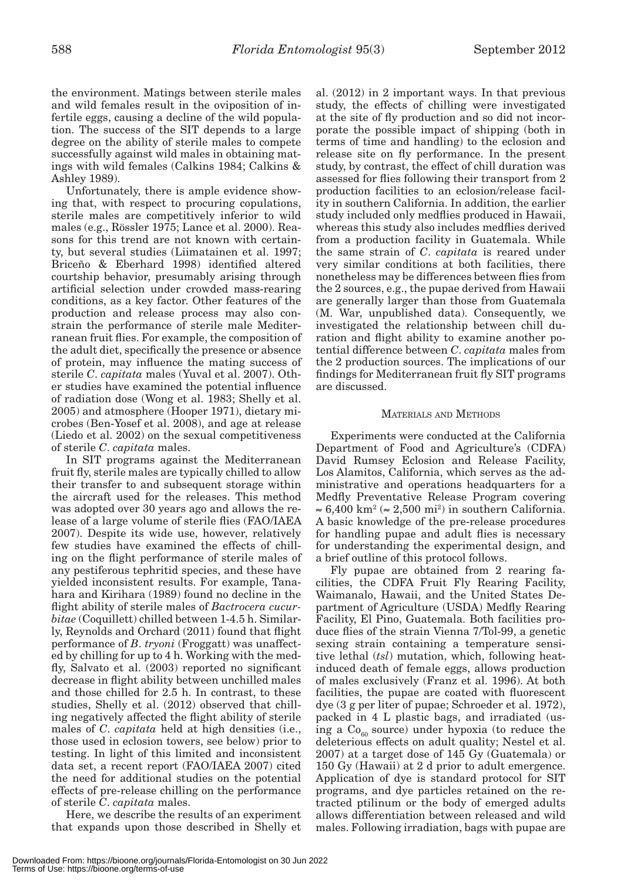the environment. Matings between sterile males and wild females result in the oviposition of infertile eggs, causing a decline of the wild population. The success of the SIT depends to a large degree on the ability of sterile males to compete successfully against wild males in obtaining matings with wild females (Calkins 1984; Calkins & Ashley 1989).

Unfortunately, there is ample evidence showing that, with respect to procuring copulations, sterile males are competitively inferior to wild males (e.g., Rössler 1975; Lance et al. 2000). Reasons for this trend are not known with certainty, but several studies (Liimatainen et al. 1997; Briceño & Eberhard 1998) identified altered courtship behavior, presumably arising through artificial selection under crowded mass-rearing conditions, as a key factor. Other features of the production and release process may also constrain the performance of sterile male Mediterranean fruit flies. For example, the composition of the adult diet, specifically the presence or absence of protein, may influence the mating success of sterile *C*. *capitata* males (Yuval et al. 2007). Other studies have examined the potential influence of radiation dose (Wong et al. 1983; Shelly et al. 2005) and atmosphere (Hooper 1971), dietary microbes (Ben-Yosef et al. 2008), and age at release (Liedo et al. 2002) on the sexual competitiveness of sterile *C*. *capitata* males.

In SIT programs against the Mediterranean fruit fly, sterile males are typically chilled to allow their transfer to and subsequent storage within the aircraft used for the releases. This method was adopted over 30 years ago and allows the release of a large volume of sterile flies (FAO/IAEA 2007). Despite its wide use, however, relatively few studies have examined the effects of chilling on the flight performance of sterile males of any pestiferous tephritid species, and these have yielded inconsistent results. For example, Tanahara and Kirihara (1989) found no decline in the flight ability of sterile males of *Bactrocera cucurbitae* (Coquillett) chilled between 1-4.5 h. Similarly, Reynolds and Orchard (2011) found that flight performance of *B*. *tryoni* (Froggatt) was unaffected by chilling for up to 4 h. Working with the medfly, Salvato et al. (2003) reported no significant decrease in flight ability between unchilled males and those chilled for 2.5 h. In contrast, to these studies, Shelly et al. (2012) observed that chilling negatively affected the flight ability of sterile males of *C*. *capitata* held at high densities (i.e., those used in eclosion towers, see below) prior to testing. In light of this limited and inconsistent data set, a recent report (FAO/IAEA 2007) cited the need for additional studies on the potential effects of pre-release chilling on the performance of sterile *C*. *capitata* males.

Here, we describe the results of an experiment that expands upon those described in Shelly et al. (2012) in 2 important ways. In that previous study, the effects of chilling were investigated at the site of fly production and so did not incorporate the possible impact of shipping (both in terms of time and handling) to the eclosion and release site on fly performance. In the present study, by contrast, the effect of chill duration was assessed for flies following their transport from 2 production facilities to an eclosion/release facility in southern California. In addition, the earlier study included only medflies produced in Hawaii, whereas this study also includes medflies derived from a production facility in Guatemala. While the same strain of *C*. *capitata* is reared under very similar conditions at both facilities, there nonetheless may be differences between flies from the 2 sources, e.g., the pupae derived from Hawaii are generally larger than those from Guatemala (M. War, unpublished data). Consequently, we investigated the relationship between chill duration and flight ability to examine another potential difference between *C*. *capitata* males from the 2 production sources. The implications of our findings for Mediterranean fruit fly SIT programs are discussed.

#### MATERIALS AND METHODS

Experiments were conducted at the California Department of Food and Agriculture's (CDFA) David Rumsey Eclosion and Release Facility, Los Alamitos, California, which serves as the administrative and operations headquarters for a Medfly Preventative Release Program covering  $\approx 6,400 \text{ km}^2 \approx 2,500 \text{ mi}^2$  in southern California. A basic knowledge of the pre-release procedures for handling pupae and adult flies is necessary for understanding the experimental design, and a brief outline of this protocol follows.

Fly pupae are obtained from 2 rearing facilities, the CDFA Fruit Fly Rearing Facility, Waimanalo, Hawaii, and the United States Department of Agriculture (USDA) Medfly Rearing Facility, El Pino, Guatemala. Both facilities produce flies of the strain Vienna 7/Tol-99, a genetic sexing strain containing a temperature sensitive lethal (*tsl*) mutation, which, following heatinduced death of female eggs, allows production of males exclusively (Franz et al. 1996). At both facilities, the pupae are coated with fluorescent dye (3 g per liter of pupae; Schroeder et al. 1972), packed in 4 L plastic bags, and irradiated (using a  $Co<sub>60</sub>$  source) under hypoxia (to reduce the deleterious effects on adult quality; Nestel et al. 2007) at a target dose of 145 Gy (Guatemala) or 150 Gy (Hawaii) at 2 d prior to adult emergence. Application of dye is standard protocol for SIT programs, and dye particles retained on the retracted ptilinum or the body of emerged adults allows differentiation between released and wild males. Following irradiation, bags with pupae are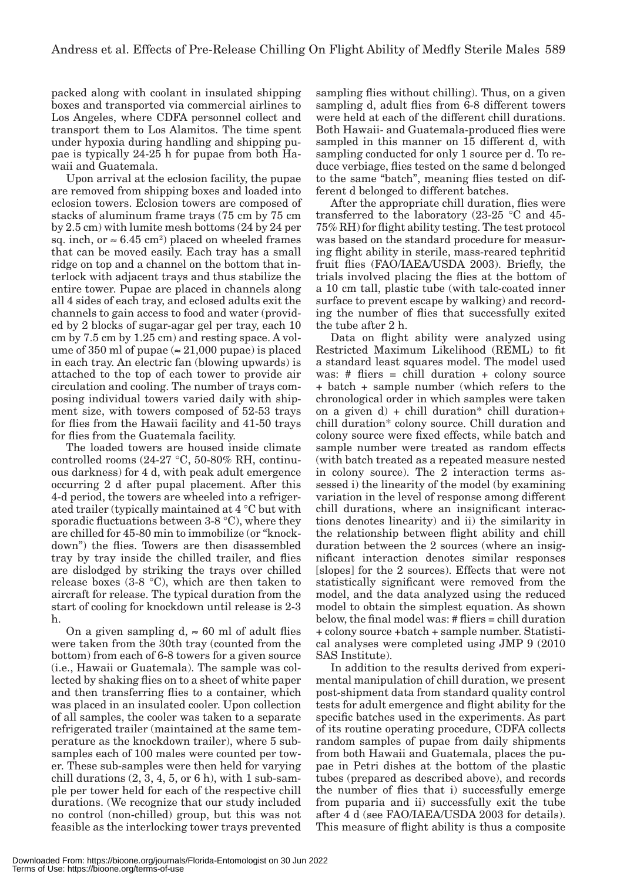packed along with coolant in insulated shipping boxes and transported via commercial airlines to Los Angeles, where CDFA personnel collect and transport them to Los Alamitos. The time spent under hypoxia during handling and shipping pupae is typically 24-25 h for pupae from both Hawaii and Guatemala.

Upon arrival at the eclosion facility, the pupae are removed from shipping boxes and loaded into eclosion towers. Eclosion towers are composed of stacks of aluminum frame trays (75 cm by 75 cm by 2.5 cm) with lumite mesh bottoms (24 by 24 per sq. inch, or  $\approx 6.45$  cm<sup>2</sup>) placed on wheeled frames that can be moved easily. Each tray has a small ridge on top and a channel on the bottom that interlock with adjacent trays and thus stabilize the entire tower. Pupae are placed in channels along all 4 sides of each tray, and eclosed adults exit the channels to gain access to food and water (provided by 2 blocks of sugar-agar gel per tray, each 10 cm by 7.5 cm by 1.25 cm) and resting space. A volume of 350 ml of pupae ( $\approx 21,000$  pupae) is placed in each tray. An electric fan (blowing upwards) is attached to the top of each tower to provide air circulation and cooling. The number of trays composing individual towers varied daily with shipment size, with towers composed of 52-53 trays for flies from the Hawaii facility and 41-50 trays for flies from the Guatemala facility.

The loaded towers are housed inside climate controlled rooms (24-27 °C, 50-80% RH, continuous darkness) for 4 d, with peak adult emergence occurring 2 d after pupal placement. After this 4-d period, the towers are wheeled into a refrigerated trailer (typically maintained at 4 °C but with sporadic fluctuations between  $3-8$  °C), where they are chilled for 45-80 min to immobilize (or "knockdown") the flies. Towers are then disassembled tray by tray inside the chilled trailer, and flies are dislodged by striking the trays over chilled release boxes (3-8 °C), which are then taken to aircraft for release. The typical duration from the start of cooling for knockdown until release is 2-3 h.

On a given sampling  $d_1 \approx 60$  ml of adult flies were taken from the 30th tray (counted from the bottom) from each of 6-8 towers for a given source (i.e., Hawaii or Guatemala). The sample was collected by shaking flies on to a sheet of white paper and then transferring flies to a container, which was placed in an insulated cooler. Upon collection of all samples, the cooler was taken to a separate refrigerated trailer (maintained at the same temperature as the knockdown trailer), where 5 subsamples each of 100 males were counted per tower. These sub-samples were then held for varying chill durations  $(2, 3, 4, 5, or 6 h)$ , with 1 sub-sample per tower held for each of the respective chill durations. (We recognize that our study included no control (non-chilled) group, but this was not feasible as the interlocking tower trays prevented

sampling flies without chilling). Thus, on a given sampling d, adult flies from 6-8 different towers were held at each of the different chill durations. Both Hawaii- and Guatemala-produced flies were sampled in this manner on 15 different d, with sampling conducted for only 1 source per d. To reduce verbiage, flies tested on the same d belonged to the same "batch", meaning flies tested on different d belonged to different batches.

After the appropriate chill duration, flies were transferred to the laboratory (23-25 °C and 45- 75% RH) for flight ability testing. The test protocol was based on the standard procedure for measuring flight ability in sterile, mass-reared tephritid fruit flies (FAO/IAEA/USDA 2003). Briefly, the trials involved placing the flies at the bottom of a 10 cm tall, plastic tube (with talc-coated inner surface to prevent escape by walking) and recording the number of flies that successfully exited the tube after 2 h.

Data on flight ability were analyzed using Restricted Maximum Likelihood (REML) to fit a standard least squares model. The model used was: # fliers = chill duration + colony source + batch + sample number (which refers to the chronological order in which samples were taken on a given d) + chill duration\* chill duration+ chill duration\* colony source. Chill duration and colony source were fixed effects, while batch and sample number were treated as random effects (with batch treated as a repeated measure nested in colony source). The 2 interaction terms assessed i) the linearity of the model (by examining variation in the level of response among different chill durations, where an insignificant interactions denotes linearity) and ii) the similarity in the relationship between flight ability and chill duration between the 2 sources (where an insignificant interaction denotes similar responses [slopes] for the 2 sources). Effects that were not statistically significant were removed from the model, and the data analyzed using the reduced model to obtain the simplest equation. As shown below, the final model was: # fliers = chill duration + colony source +batch + sample number. Statistical analyses were completed using JMP 9 (2010 SAS Institute).

In addition to the results derived from experimental manipulation of chill duration, we present post-shipment data from standard quality control tests for adult emergence and flight ability for the specific batches used in the experiments. As part of its routine operating procedure, CDFA collects random samples of pupae from daily shipments from both Hawaii and Guatemala, places the pupae in Petri dishes at the bottom of the plastic tubes (prepared as described above), and records the number of flies that i) successfully emerge from puparia and ii) successfully exit the tube after 4 d (see FAO/IAEA/USDA 2003 for details). This measure of flight ability is thus a composite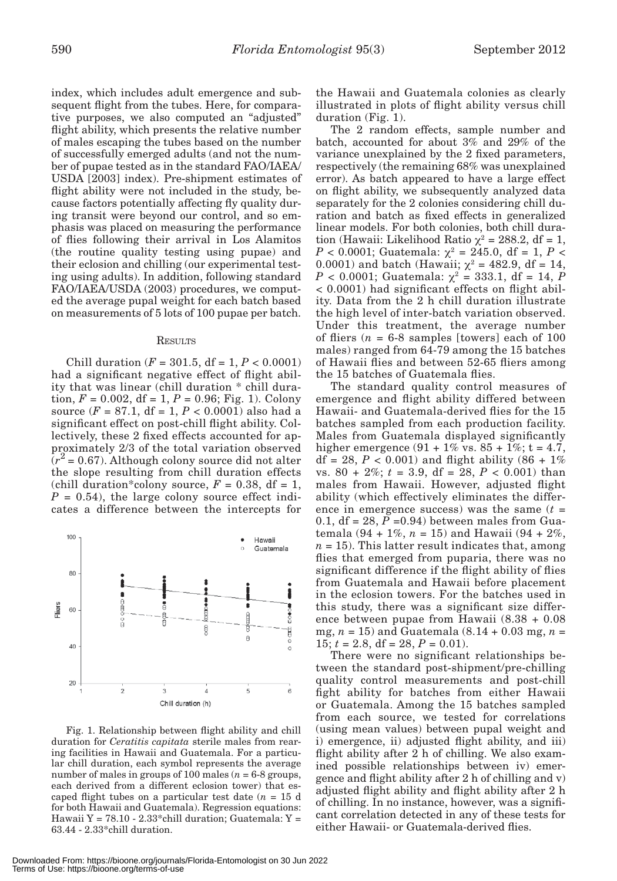index, which includes adult emergence and subsequent flight from the tubes. Here, for comparative purposes, we also computed an "adjusted" flight ability, which presents the relative number of males escaping the tubes based on the number of successfully emerged adults (and not the number of pupae tested as in the standard FAO/IAEA/ USDA [2003] index). Pre-shipment estimates of flight ability were not included in the study, because factors potentially affecting fly quality during transit were beyond our control, and so emphasis was placed on measuring the performance of flies following their arrival in Los Alamitos (the routine quality testing using pupae) and their eclosion and chilling (our experimental testing using adults). In addition, following standard FAO/IAEA/USDA (2003) procedures, we computed the average pupal weight for each batch based on measurements of 5 lots of 100 pupae per batch.

#### RESULTS

Chill duration ( $F = 301.5$ , df = 1,  $P < 0.0001$ ) had a significant negative effect of flight ability that was linear (chill duration \* chill duration,  $F = 0.002$ , df = 1,  $P = 0.96$ ; Fig. 1). Colony source (*F* = 87.1, df = 1, *P* < 0.0001) also had a significant effect on post-chill flight ability. Collectively, these 2 fixed effects accounted for approximately 2/3 of the total variation observed  $(r^2 = 0.67)$ . Although colony source did not alter the slope resulting from chill duration effects (chill duration\*colony source,  $F = 0.38$ , df = 1,  $P = 0.54$ , the large colony source effect indicates a difference between the intercepts for



Fig. 1. Relationship between flight ability and chill duration for *Ceratitis capitata* sterile males from rearing facilities in Hawaii and Guatemala. For a particular chill duration, each symbol represents the average number of males in groups of 100 males  $(n = 6-8)$  groups, each derived from a different eclosion tower) that escaped flight tubes on a particular test date  $(n = 15 \text{ d})$ for both Hawaii and Guatemala). Regression equations: Hawaii  $Y = 78.10 - 2.33$ \*chill duration; Guatemala:  $Y =$ 63.44 - 2.33\*chill duration.

the Hawaii and Guatemala colonies as clearly illustrated in plots of flight ability versus chill duration (Fig. 1).

The 2 random effects, sample number and batch, accounted for about 3% and 29% of the variance unexplained by the 2 fixed parameters, respectively (the remaining 68% was unexplained error). As batch appeared to have a large effect on flight ability, we subsequently analyzed data separately for the 2 colonies considering chill duration and batch as fixed effects in generalized linear models. For both colonies, both chill duration (Hawaii: Likelihood Ratio  $\chi^2$  = 288.2, df = 1,  $P < 0.0001$ ; Guatemala:  $\chi^2 = 245.0$ , df = 1,  $P <$ 0.0001) and batch (Hawaii;  $\chi^2$  = 482.9, df = 14,  $P < 0.0001$ ; Guatemala:  $\chi^2 = 333.1$ , df = 14, *P* < 0.0001) had significant effects on flight ability. Data from the 2 h chill duration illustrate the high level of inter-batch variation observed. Under this treatment, the average number of fliers  $(n = 6-8$  samples [towers] each of 100 males) ranged from 64-79 among the 15 batches of Hawaii flies and between 52-65 fliers among the 15 batches of Guatemala flies.

The standard quality control measures of emergence and flight ability differed between Hawaii- and Guatemala-derived flies for the 15 batches sampled from each production facility. Males from Guatemala displayed significantly higher emergence  $(91 + 1\% \text{ vs. } 85 + 1\%; t = 4.7,$ df = 28,  $P < 0.001$ ) and flight ability (86 + 1%) vs. 80 + 2%;  $t = 3.9$ , df = 28,  $P < 0.001$ ) than males from Hawaii. However, adjusted flight ability (which effectively eliminates the difference in emergence success) was the same  $(t =$ 0.1,  $df = 28$ ,  $P = 0.94$ ) between males from Guatemala  $(94 + 1\%, n = 15)$  and Hawaii  $(94 + 2\%,$  $n = 15$ ). This latter result indicates that, among flies that emerged from puparia, there was no significant difference if the flight ability of flies from Guatemala and Hawaii before placement in the eclosion towers. For the batches used in this study, there was a significant size difference between pupae from Hawaii (8.38 + 0.08 mg, *n* = 15) and Guatemala (8.14 + 0.03 mg, *n* = 15;  $t = 2.8$ , df = 28,  $P = 0.01$ ).

There were no significant relationships between the standard post-shipment/pre-chilling quality control measurements and post-chill fight ability for batches from either Hawaii or Guatemala. Among the 15 batches sampled from each source, we tested for correlations (using mean values) between pupal weight and i) emergence, ii) adjusted flight ability, and iii) flight ability after 2 h of chilling. We also examined possible relationships between iv) emergence and flight ability after 2 h of chilling and v) adjusted flight ability and flight ability after 2 h of chilling. In no instance, however, was a significant correlation detected in any of these tests for either Hawaii- or Guatemala-derived flies.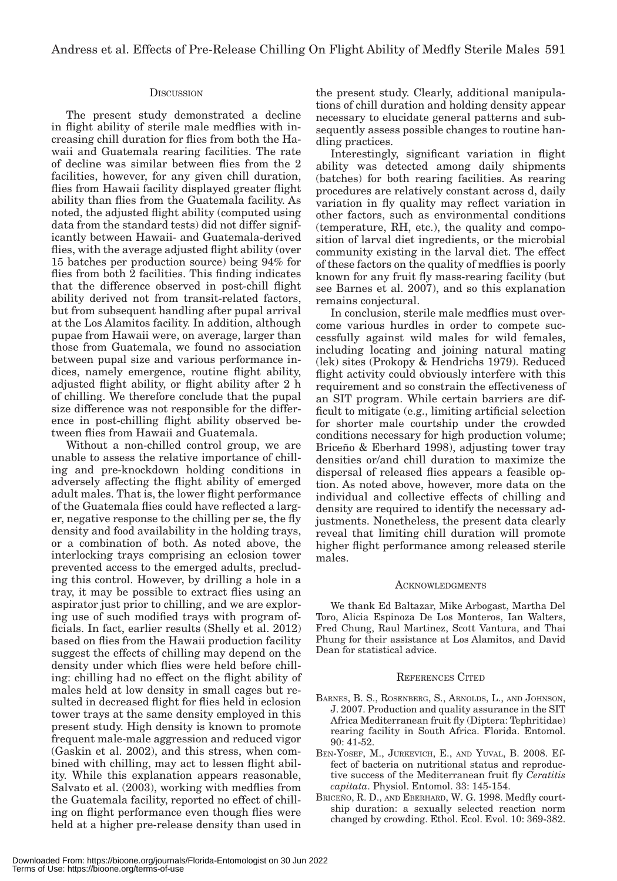#### **DISCUSSION**

The present study demonstrated a decline in flight ability of sterile male medflies with increasing chill duration for flies from both the Hawaii and Guatemala rearing facilities. The rate of decline was similar between flies from the 2 facilities, however, for any given chill duration, flies from Hawaii facility displayed greater flight ability than flies from the Guatemala facility. As noted, the adjusted flight ability (computed using data from the standard tests) did not differ significantly between Hawaii- and Guatemala-derived flies, with the average adjusted flight ability (over 15 batches per production source) being 94% for flies from both 2 facilities. This finding indicates that the difference observed in post-chill flight ability derived not from transit-related factors, but from subsequent handling after pupal arrival at the Los Alamitos facility. In addition, although pupae from Hawaii were, on average, larger than those from Guatemala, we found no association between pupal size and various performance indices, namely emergence, routine flight ability, adjusted flight ability, or flight ability after 2 h of chilling. We therefore conclude that the pupal size difference was not responsible for the difference in post-chilling flight ability observed between flies from Hawaii and Guatemala.

Without a non-chilled control group, we are unable to assess the relative importance of chilling and pre-knockdown holding conditions in adversely affecting the flight ability of emerged adult males. That is, the lower flight performance of the Guatemala flies could have reflected a larger, negative response to the chilling per se, the fly density and food availability in the holding trays, or a combination of both. As noted above, the interlocking trays comprising an eclosion tower prevented access to the emerged adults, precluding this control. However, by drilling a hole in a tray, it may be possible to extract flies using an aspirator just prior to chilling, and we are exploring use of such modified trays with program officials. In fact, earlier results (Shelly et al. 2012) based on flies from the Hawaii production facility suggest the effects of chilling may depend on the density under which flies were held before chilling: chilling had no effect on the flight ability of males held at low density in small cages but resulted in decreased flight for flies held in eclosion tower trays at the same density employed in this present study. High density is known to promote frequent male-male aggression and reduced vigor (Gaskin et al. 2002), and this stress, when combined with chilling, may act to lessen flight ability. While this explanation appears reasonable, Salvato et al. (2003), working with medflies from the Guatemala facility, reported no effect of chilling on flight performance even though flies were held at a higher pre-release density than used in

the present study. Clearly, additional manipulations of chill duration and holding density appear necessary to elucidate general patterns and subsequently assess possible changes to routine handling practices.

Interestingly, significant variation in flight ability was detected among daily shipments (batches) for both rearing facilities. As rearing procedures are relatively constant across d, daily variation in fly quality may reflect variation in other factors, such as environmental conditions (temperature, RH, etc.), the quality and composition of larval diet ingredients, or the microbial community existing in the larval diet. The effect of these factors on the quality of medflies is poorly known for any fruit fly mass-rearing facility (but see Barnes et al. 2007), and so this explanation remains conjectural.

In conclusion, sterile male medflies must overcome various hurdles in order to compete successfully against wild males for wild females, including locating and joining natural mating (lek) sites (Prokopy & Hendrichs 1979). Reduced flight activity could obviously interfere with this requirement and so constrain the effectiveness of an SIT program. While certain barriers are difficult to mitigate (e.g., limiting artificial selection for shorter male courtship under the crowded conditions necessary for high production volume; Briceño & Eberhard 1998), adjusting tower tray densities or/and chill duration to maximize the dispersal of released flies appears a feasible option. As noted above, however, more data on the individual and collective effects of chilling and density are required to identify the necessary adjustments. Nonetheless, the present data clearly reveal that limiting chill duration will promote higher flight performance among released sterile males.

#### **ACKNOWLEDGMENTS**

We thank Ed Baltazar, Mike Arbogast, Martha Del Toro, Alicia Espinoza De Los Monteros, Ian Walters, Fred Chung, Raul Martinez, Scott Vantura, and Thai Phung for their assistance at Los Alamitos, and David Dean for statistical advice.

#### REFERENCES CITED

- BARNES, B. S., ROSENBERG, S., ARNOLDS, L., AND JOHNSON, J. 2007. Production and quality assurance in the SIT Africa Mediterranean fruit fly (Diptera: Tephritidae) rearing facility in South Africa. Florida. Entomol. 90: 41-52.
- BEN-YOSEF, M., JURKEVICH, E., AND YUVAL, B. 2008. Effect of bacteria on nutritional status and reproductive success of the Mediterranean fruit fly *Ceratitis capitata*. Physiol. Entomol. 33: 145-154.
- BRICEÑO, R. D., AND EBERHARD, W. G. 1998. Medfly courtship duration: a sexually selected reaction norm changed by crowding. Ethol. Ecol. Evol. 10: 369-382.